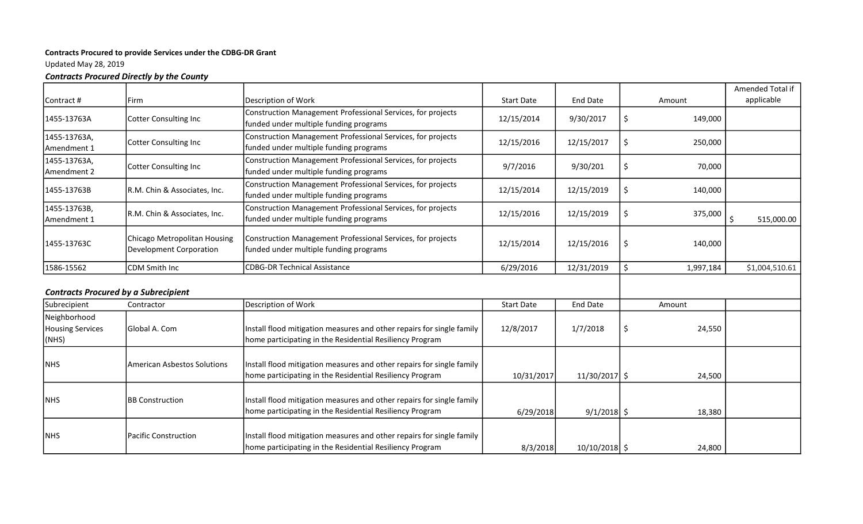## Contracts Procured to provide Services under the CDBG-DR Grant

Updated May 28, 2019

## Contracts Procured Directly by the County

|                                                  |                                                         |                                                                                                                                   |                   |                 |        |           | Amended Total if |
|--------------------------------------------------|---------------------------------------------------------|-----------------------------------------------------------------------------------------------------------------------------------|-------------------|-----------------|--------|-----------|------------------|
| Contract #                                       | Firm                                                    | Description of Work                                                                                                               | <b>Start Date</b> | <b>End Date</b> | Amount |           | applicable       |
| 1455-13763A                                      | <b>Cotter Consulting Inc</b>                            | Construction Management Professional Services, for projects<br>funded under multiple funding programs                             | 12/15/2014        | 9/30/2017       | \$     | 149,000   |                  |
| 1455-13763A,<br>Amendment 1                      | Cotter Consulting Inc                                   | Construction Management Professional Services, for projects<br>funded under multiple funding programs                             | 12/15/2016        | 12/15/2017      | \$     | 250,000   |                  |
| 1455-13763A,<br>Amendment 2                      | Cotter Consulting Inc                                   | Construction Management Professional Services, for projects<br>funded under multiple funding programs                             | 9/7/2016          | 9/30/201        | \$     | 70,000    |                  |
| 1455-13763B                                      | R.M. Chin & Associates, Inc.                            | Construction Management Professional Services, for projects<br>funded under multiple funding programs                             | 12/15/2014        | 12/15/2019      | \$     | 140,000   |                  |
| 1455-13763B,<br>Amendment 1                      | R.M. Chin & Associates, Inc.                            | Construction Management Professional Services, for projects<br>funded under multiple funding programs                             | 12/15/2016        | 12/15/2019      | \$     | 375,000   | \$<br>515,000.00 |
| 1455-13763C                                      | Chicago Metropolitan Housing<br>Development Corporation | Construction Management Professional Services, for projects<br>funded under multiple funding programs                             | 12/15/2014        | 12/15/2016      | \$     | 140,000   |                  |
| 1586-15562                                       | CDM Smith Inc                                           | <b>CDBG-DR Technical Assistance</b>                                                                                               | 6/29/2016         | 12/31/2019      | \$     | 1,997,184 | \$1,004,510.61   |
|                                                  | <b>Contracts Procured by a Subrecipient</b>             |                                                                                                                                   |                   |                 |        |           |                  |
| Subrecipient                                     | Contractor                                              | Description of Work                                                                                                               | <b>Start Date</b> | <b>End Date</b> | Amount |           |                  |
| Neighborhood<br><b>Housing Services</b><br>(NHS) | Global A. Com                                           | Install flood mitigation measures and other repairs for single family<br>home participating in the Residential Resiliency Program | 12/8/2017         | 1/7/2018        | \$     | 24,550    |                  |
| <b>NHS</b>                                       | American Asbestos Solutions                             | Install flood mitigation measures and other repairs for single family<br>home participating in the Residential Resiliency Program | 10/31/2017        | 11/30/2017 \$   |        | 24,500    |                  |
| <b>NHS</b>                                       | <b>BB Construction</b>                                  | Install flood mitigation measures and other repairs for single family<br>home participating in the Residential Resiliency Program | 6/29/2018         | $9/1/2018$ \$   |        | 18,380    |                  |
| <b>NHS</b>                                       | <b>Pacific Construction</b>                             | Install flood mitigation measures and other repairs for single family<br>home participating in the Residential Resiliency Program | 8/3/2018          | $10/10/2018$ \$ |        | 24,800    |                  |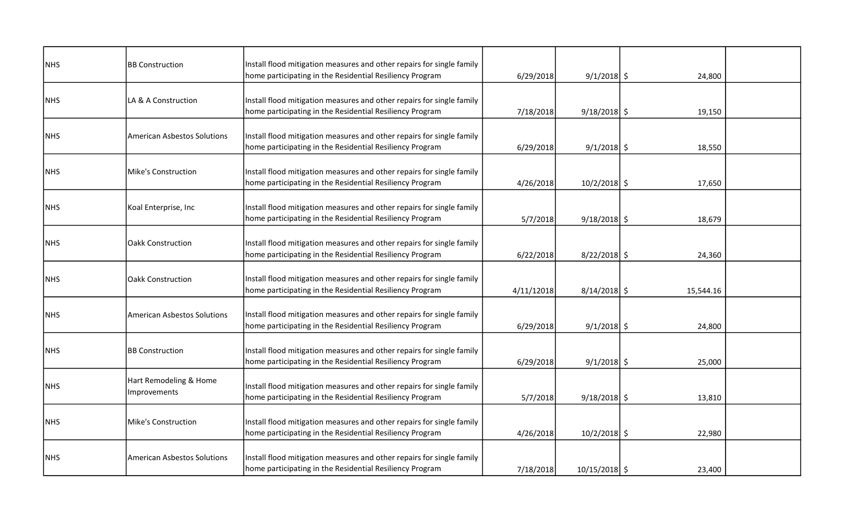| <b>NHS</b> | <b>BB Construction</b>             | Install flood mitigation measures and other repairs for single family |            |                 |           |  |
|------------|------------------------------------|-----------------------------------------------------------------------|------------|-----------------|-----------|--|
|            |                                    | home participating in the Residential Resiliency Program              | 6/29/2018  | $9/1/2018$ \$   | 24,800    |  |
|            |                                    |                                                                       |            |                 |           |  |
| <b>NHS</b> | LA & A Construction                | Install flood mitigation measures and other repairs for single family |            |                 |           |  |
|            |                                    | home participating in the Residential Resiliency Program              | 7/18/2018  | $9/18/2018$ \$  | 19,150    |  |
|            |                                    |                                                                       |            |                 |           |  |
| <b>NHS</b> | <b>American Asbestos Solutions</b> | Install flood mitigation measures and other repairs for single family |            |                 |           |  |
|            |                                    | home participating in the Residential Resiliency Program              | 6/29/2018  | $9/1/2018$ \$   | 18,550    |  |
|            |                                    |                                                                       |            |                 |           |  |
| <b>NHS</b> | Mike's Construction                | Install flood mitigation measures and other repairs for single family |            |                 |           |  |
|            |                                    | home participating in the Residential Resiliency Program              | 4/26/2018  | $10/2/2018$ \$  | 17,650    |  |
|            |                                    |                                                                       |            |                 |           |  |
| <b>NHS</b> | Koal Enterprise, Inc               | Install flood mitigation measures and other repairs for single family |            |                 |           |  |
|            |                                    | home participating in the Residential Resiliency Program              | 5/7/2018   | $9/18/2018$ \$  | 18,679    |  |
|            |                                    |                                                                       |            |                 |           |  |
| <b>NHS</b> | <b>Oakk Construction</b>           | Install flood mitigation measures and other repairs for single family |            |                 |           |  |
|            |                                    | home participating in the Residential Resiliency Program              | 6/22/2018  | $8/22/2018$ \$  | 24,360    |  |
|            |                                    |                                                                       |            |                 |           |  |
| <b>NHS</b> | <b>Oakk Construction</b>           | Install flood mitigation measures and other repairs for single family |            |                 |           |  |
|            |                                    | home participating in the Residential Resiliency Program              | 4/11/12018 | $8/14/2018$ \$  | 15,544.16 |  |
|            |                                    |                                                                       |            |                 |           |  |
| <b>NHS</b> | <b>American Asbestos Solutions</b> | Install flood mitigation measures and other repairs for single family |            |                 |           |  |
|            |                                    | home participating in the Residential Resiliency Program              | 6/29/2018  | $9/1/2018$ \$   | 24,800    |  |
|            |                                    |                                                                       |            |                 |           |  |
| <b>NHS</b> | <b>BB Construction</b>             | Install flood mitigation measures and other repairs for single family |            |                 |           |  |
|            |                                    | home participating in the Residential Resiliency Program              | 6/29/2018  | $9/1/2018$ \$   | 25,000    |  |
|            |                                    |                                                                       |            |                 |           |  |
|            | Hart Remodeling & Home             |                                                                       |            |                 |           |  |
| <b>NHS</b> | <b>Improvements</b>                | Install flood mitigation measures and other repairs for single family |            |                 |           |  |
|            |                                    | home participating in the Residential Resiliency Program              | 5/7/2018   | $9/18/2018$ \$  | 13,810    |  |
|            |                                    |                                                                       |            |                 |           |  |
| <b>NHS</b> | <b>Mike's Construction</b>         | Install flood mitigation measures and other repairs for single family |            |                 |           |  |
|            |                                    | home participating in the Residential Resiliency Program              | 4/26/2018  | $10/2/2018$ \$  | 22,980    |  |
|            |                                    |                                                                       |            |                 |           |  |
| <b>NHS</b> | <b>American Asbestos Solutions</b> | Install flood mitigation measures and other repairs for single family |            |                 |           |  |
|            |                                    | home participating in the Residential Resiliency Program              | 7/18/2018  | $10/15/2018$ \$ | 23,400    |  |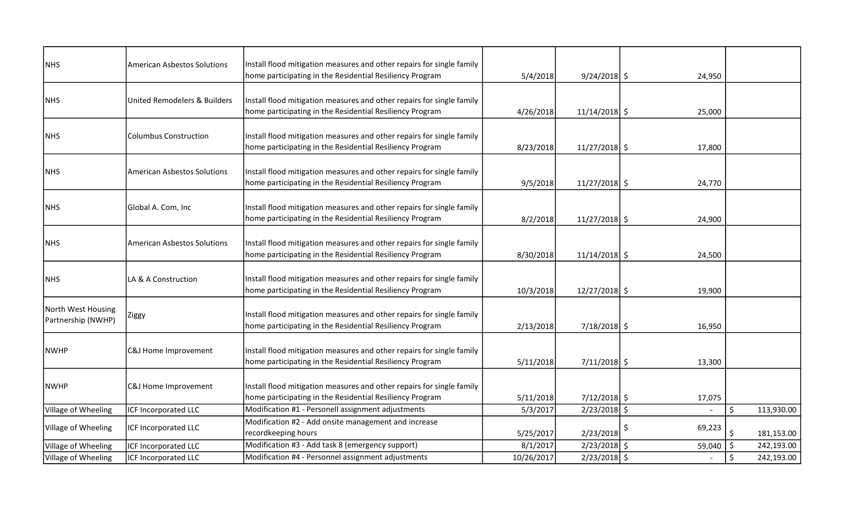| <b>NHS</b>                               | <b>American Asbestos Solutions</b> | Install flood mitigation measures and other repairs for single family                                                             |            |                 |              |                  |
|------------------------------------------|------------------------------------|-----------------------------------------------------------------------------------------------------------------------------------|------------|-----------------|--------------|------------------|
|                                          |                                    | home participating in the Residential Resiliency Program                                                                          | 5/4/2018   | $9/24/2018$ \$  | 24,950       |                  |
| <b>NHS</b>                               | United Remodelers & Builders       | Install flood mitigation measures and other repairs for single family<br>home participating in the Residential Resiliency Program | 4/26/2018  | $11/14/2018$ \$ | 25,000       |                  |
| <b>NHS</b>                               | <b>Columbus Construction</b>       | Install flood mitigation measures and other repairs for single family<br>home participating in the Residential Resiliency Program | 8/23/2018  | $11/27/2018$ \$ | 17,800       |                  |
| <b>NHS</b>                               | <b>American Asbestos Solutions</b> | Install flood mitigation measures and other repairs for single family<br>home participating in the Residential Resiliency Program | 9/5/2018   | $11/27/2018$ \$ | 24,770       |                  |
| <b>NHS</b>                               | Global A. Com, Inc                 | Install flood mitigation measures and other repairs for single family<br>home participating in the Residential Resiliency Program | 8/2/2018   | $11/27/2018$ \$ | 24,900       |                  |
| <b>NHS</b>                               | <b>American Asbestos Solutions</b> | Install flood mitigation measures and other repairs for single family<br>home participating in the Residential Resiliency Program | 8/30/2018  | $11/14/2018$ \$ | 24,500       |                  |
| <b>NHS</b>                               | LA & A Construction                | Install flood mitigation measures and other repairs for single family<br>home participating in the Residential Resiliency Program | 10/3/2018  | $12/27/2018$ \$ | 19,900       |                  |
| North West Housing<br>Partnership (NWHP) | Ziggy                              | Install flood mitigation measures and other repairs for single family<br>home participating in the Residential Resiliency Program | 2/13/2018  | $7/18/2018$ \$  | 16,950       |                  |
| <b>NWHP</b>                              | C&J Home Improvement               | Install flood mitigation measures and other repairs for single family<br>home participating in the Residential Resiliency Program | 5/11/2018  | $7/11/2018$ \$  | 13,300       |                  |
| INWHP                                    | C&J Home Improvement               | Install flood mitigation measures and other repairs for single family<br>home participating in the Residential Resiliency Program | 5/11/2018  | $7/12/2018$ \$  | 17,075       |                  |
| Village of Wheeling                      | ICF Incorporated LLC               | Modification #1 - Personell assignment adjustments                                                                                | 5/3/2017   | $2/23/2018$ \$  |              | 113,930.00       |
| Village of Wheeling                      | ICF Incorporated LLC               | Modification #2 - Add onsite management and increase<br>recordkeeping hours                                                       | 5/25/2017  | 2/23/2018       | \$<br>69,223 | 181,153.00       |
| Village of Wheeling                      | ICF Incorporated LLC               | Modification #3 - Add task 8 (emergency support)                                                                                  | 8/1/2017   | $2/23/2018$ \$  | 59,040       | \$<br>242,193.00 |
| Village of Wheeling                      | <b>ICF Incorporated LLC</b>        | Modification #4 - Personnel assignment adjustments                                                                                | 10/26/2017 | $2/23/2018$ \$  |              | 242,193.00<br>\$ |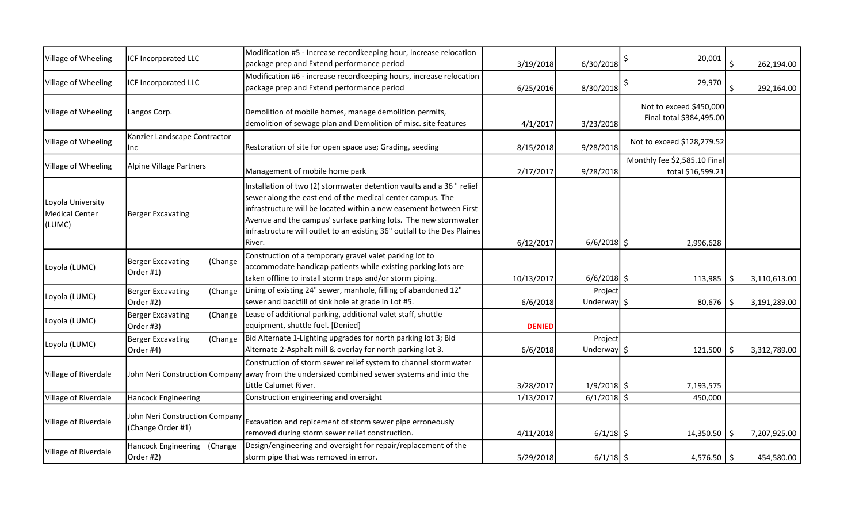| Village of Wheeling                           | ICF Incorporated LLC                                | Modification #5 - Increase recordkeeping hour, increase relocation<br>package prep and Extend performance period                                                                                                                                                                                                                                                   | 3/19/2018     | 6/30/2018                         | 20,001                                              | \$. | 262,194.00   |
|-----------------------------------------------|-----------------------------------------------------|--------------------------------------------------------------------------------------------------------------------------------------------------------------------------------------------------------------------------------------------------------------------------------------------------------------------------------------------------------------------|---------------|-----------------------------------|-----------------------------------------------------|-----|--------------|
| Village of Wheeling                           | ICF Incorporated LLC                                | Modification #6 - increase recordkeeping hours, increase relocation<br>package prep and Extend performance period                                                                                                                                                                                                                                                  | 6/25/2016     | 8/30/2018                         | 29,970<br>\$                                        |     | 292,164.00   |
| Village of Wheeling                           | Langos Corp.                                        | Demolition of mobile homes, manage demolition permits,<br>demolition of sewage plan and Demolition of misc. site features                                                                                                                                                                                                                                          | 4/1/2017      | 3/23/2018                         | Not to exceed \$450,000<br>Final total \$384,495.00 |     |              |
| Village of Wheeling                           | Kanzier Landscape Contractor<br>Inc                 | Restoration of site for open space use; Grading, seeding                                                                                                                                                                                                                                                                                                           | 8/15/2018     | 9/28/2018                         | Not to exceed \$128,279.52                          |     |              |
| Village of Wheeling                           | Alpine Village Partners                             | Management of mobile home park                                                                                                                                                                                                                                                                                                                                     | 2/17/2017     | 9/28/2018                         | Monthly fee \$2,585.10 Final<br>total \$16,599.21   |     |              |
| Loyola University<br>Medical Center<br>(LUMC) | Berger Excavating                                   | Installation of two (2) stormwater detention vaults and a 36 " relief<br>sewer along the east end of the medical center campus. The<br>infrastructure will be located within a new easement between First<br>Avenue and the campus' surface parking lots. The new stormwater<br>infrastructure will outlet to an existing 36" outfall to the Des Plaines<br>River. | 6/12/2017     | $6/6/2018$ \$                     | 2,996,628                                           |     |              |
| Loyola (LUMC)                                 | Berger Excavating<br>(Change<br>Order #1)           | Construction of a temporary gravel valet parking lot to<br>accommodate handicap patients while existing parking lots are<br>taken offline to install storm traps and/or storm piping.                                                                                                                                                                              | 10/13/2017    | $6/6/2018$ \$                     | 113,985                                             | -S  | 3,110,613.00 |
| Loyola (LUMC)                                 | <b>Berger Excavating</b><br>(Change<br>Order #2)    | Lining of existing 24" sewer, manhole, filling of abandoned 12"<br>sewer and backfill of sink hole at grade in Lot #5.                                                                                                                                                                                                                                             | 6/6/2018      | Project<br>Underway $\frac{1}{2}$ | 80,676                                              |     | 3,191,289.00 |
| Loyola (LUMC)                                 | <b>Berger Excavating</b><br>(Change<br>Order #3)    | Lease of additional parking, additional valet staff, shuttle<br>equipment, shuttle fuel. [Denied]                                                                                                                                                                                                                                                                  | <b>DENIED</b> |                                   |                                                     |     |              |
| Loyola (LUMC)                                 | <b>Berger Excavating</b><br>(Change<br>Order #4)    | Bid Alternate 1-Lighting upgrades for north parking lot 3; Bid<br>Alternate 2-Asphalt mill & overlay for north parking lot 3.                                                                                                                                                                                                                                      | 6/6/2018      | Project<br>Underway $\frac{1}{2}$ | 121,500                                             | S   | 3,312,789.00 |
| Village of Riverdale                          |                                                     | Construction of storm sewer relief system to channel stormwater<br>John Neri Construction Company away from the undersized combined sewer systems and into the<br>Little Calumet River.                                                                                                                                                                            | 3/28/2017     | $1/9/2018$ \$                     | 7,193,575                                           |     |              |
| Village of Riverdale                          | Hancock Engineering                                 | Construction engineering and oversight                                                                                                                                                                                                                                                                                                                             | 1/13/2017     | $6/1/2018$ \$                     | 450,000                                             |     |              |
| Village of Riverdale                          | John Neri Construction Company<br>(Change Order #1) | Excavation and replcement of storm sewer pipe erroneously<br>removed during storm sewer relief construction.                                                                                                                                                                                                                                                       | 4/11/2018     | $6/1/18$ \$                       | $14,350.50$   \$                                    |     | 7,207,925.00 |
| Village of Riverdale                          | Hancock Engineering<br>(Change<br>Order #2)         | Design/engineering and oversight for repair/replacement of the<br>storm pipe that was removed in error.                                                                                                                                                                                                                                                            | 5/29/2018     | $6/1/18$ \$                       | $4,576.50$   \$                                     |     | 454,580.00   |